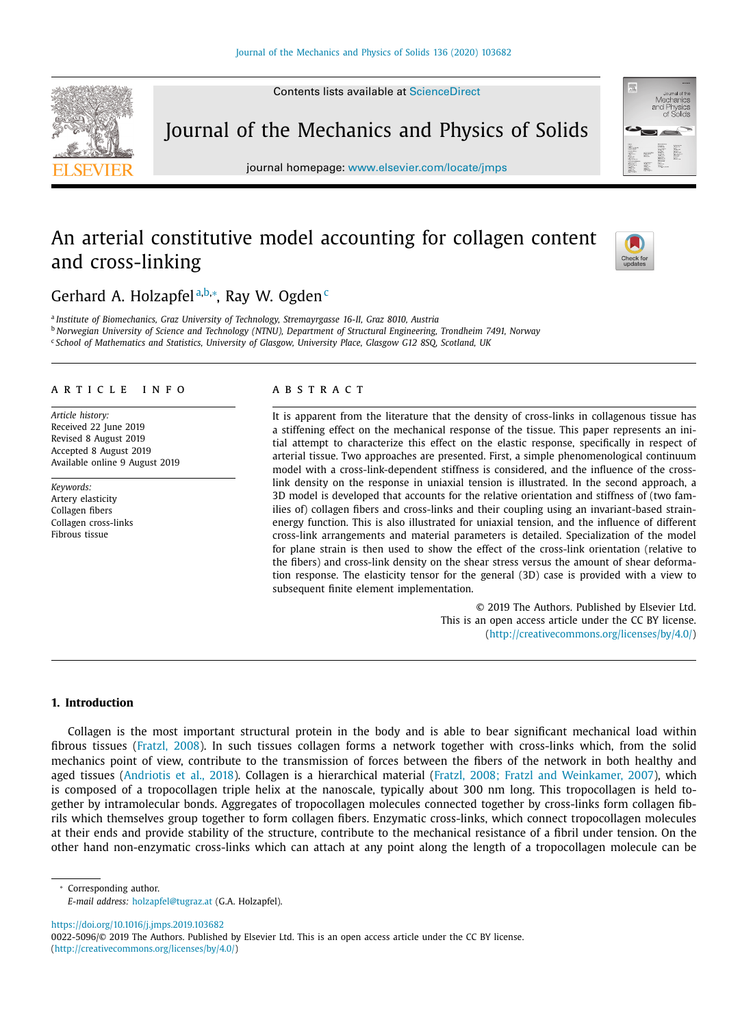Contents lists available at [ScienceDirect](http://www.ScienceDirect.com)



Journal of the Mechanics and Physics of Solids

journal homepage: [www.elsevier.com/locate/jmps](http://www.elsevier.com/locate/jmps)

# An arterial constitutive model accounting for collagen content and cross-linking



## Gerhard A. Holzapfel<sup>a,b,∗</sup>, Ray W. Ogden<sup>c</sup>

<sup>a</sup> *Institute of Biomechanics, Graz University of Technology, Stremayrgasse 16-II, Graz 8010, Austria* <sup>b</sup> *Norwegian University of Science and Technology (NTNU), Department of Structural Engineering, Trondheim 7491, Norway* <sup>c</sup> *School of Mathematics and Statistics, University of Glasgow, University Place, Glasgow G12 8SQ, Scotland, UK*

## a r t i c l e i n f o

*Article history:* Received 22 June 2019 Revised 8 August 2019 Accepted 8 August 2019 Available online 9 August 2019

*Keywords:* Artery elasticity Collagen fibers Collagen cross-links Fibrous tissue

## a b s t r a c t

It is apparent from the literature that the density of cross-links in collagenous tissue has a stiffening effect on the mechanical response of the tissue. This paper represents an initial attempt to characterize this effect on the elastic response, specifically in respect of arterial tissue. Two approaches are presented. First, a simple phenomenological continuum model with a cross-link-dependent stiffness is considered, and the influence of the crosslink density on the response in uniaxial tension is illustrated. In the second approach, a 3D model is developed that accounts for the relative orientation and stiffness of (two families of) collagen fibers and cross-links and their coupling using an invariant-based strainenergy function. This is also illustrated for uniaxial tension, and the influence of different cross-link arrangements and material parameters is detailed. Specialization of the model for plane strain is then used to show the effect of the cross-link orientation (relative to the fibers) and cross-link density on the shear stress versus the amount of shear deformation response. The elasticity tensor for the general (3D) case is provided with a view to subsequent finite element implementation.

> © 2019 The Authors. Published by Elsevier Ltd. This is an open access article under the CC BY license. [\(http://creativecommons.org/licenses/by/4.0/\)](http://creativecommons.org/licenses/by/4.0/)

## **1. Introduction**

Collagen is the most important structural protein in the body and is able to bear significant mechanical load within fibrous tissues [\(Fratzl,](#page-12-0) 2008). In such tissues collagen forms a network together with cross-links which, from the solid mechanics point of view, contribute to the transmission of forces between the fibers of the network in both healthy and aged tissues [\(Andriotis](#page-12-0) et al., 2018). Collagen is a hierarchical material (Fratzl, 2008; Fratzl and [Weinkamer,](#page-12-0) 2007), which is composed of a tropocollagen triple helix at the nanoscale, typically about 300 nm long. This tropocollagen is held together by intramolecular bonds. Aggregates of tropocollagen molecules connected together by cross-links form collagen fibrils which themselves group together to form collagen fibers. Enzymatic cross-links, which connect tropocollagen molecules at their ends and provide stability of the structure, contribute to the mechanical resistance of a fibril under tension. On the other hand non-enzymatic cross-links which can attach at any point along the length of a tropocollagen molecule can be

<sup>∗</sup> Corresponding author.

<https://doi.org/10.1016/j.jmps.2019.103682>

0022-5096/© 2019 The Authors. Published by Elsevier Ltd. This is an open access article under the CC BY license. [\(http://creativecommons.org/licenses/by/4.0/\)](http://creativecommons.org/licenses/by/4.0/)

*E-mail address:* [holzapfel@tugraz.at](mailto:holzapfel@tugraz.at) (G.A. Holzapfel).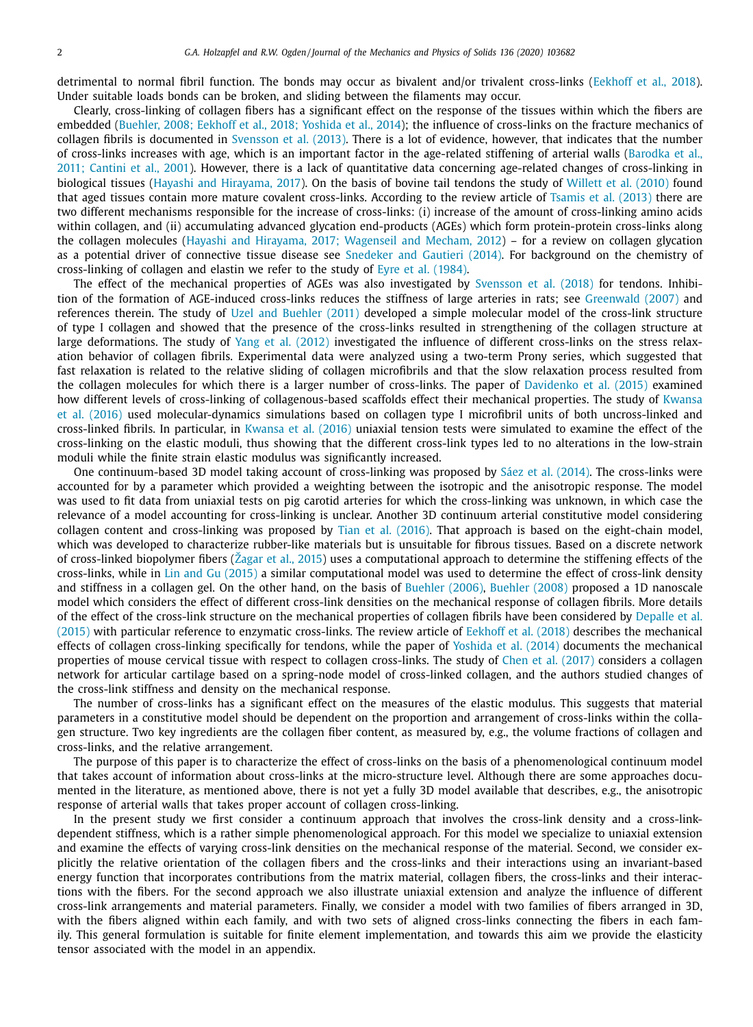detrimental to normal fibril function. The bonds may occur as bivalent and/or trivalent cross-links [\(Eekhoff et](#page-12-0) al., 2018). Under suitable loads bonds can be broken, and sliding between the filaments may occur.

Clearly, cross-linking of collagen fibers has a significant effect on the response of the tissues within which the fibers are embedded (Buehler, 2008; [Eekhoff et](#page-12-0) al., 2018; Yoshida et al., 2014); the influence of cross-links on the fracture mechanics of collagen fibrils is documented in [Svensson](#page-12-0) et al. (2013). There is a lot of evidence, however, that indicates that the number of cross-links increases with age, which is an important factor in the age-related stiffening of arterial walls (Barodka et al., 2011; Cantini et al., 2001). However, there is a lack of quantitative data concerning age-related changes of [cross-linking](#page-12-0) in biological tissues (Hayashi and [Hirayama,](#page-12-0) 2017). On the basis of bovine tail tendons the study of [Willett](#page-12-0) et al. (2010) found that aged tissues contain more mature covalent cross-links. According to the review article of [Tsamis](#page-12-0) et al. (2013) there are two different mechanisms responsible for the increase of cross-links: (i) increase of the amount of cross-linking amino acids within collagen, and (ii) accumulating advanced glycation end-products (AGEs) which form protein-protein cross-links along the collagen molecules (Hayashi and Hirayama, 2017; [Wagenseil](#page-12-0) and Mecham, 2012) – for a review on collagen glycation as a potential driver of connective tissue disease see [Snedeker](#page-12-0) and Gautieri (2014). For background on the chemistry of cross-linking of collagen and elastin we refer to the study of Eyre et al. [\(1984\).](#page-12-0)

The effect of the mechanical properties of AGEs was also investigated by [Svensson](#page-12-0) et al. (2018) for tendons. Inhibition of the formation of AGE-induced cross-links reduces the stiffness of large arteries in rats; see [Greenwald](#page-12-0) (2007) and references therein. The study of Uzel and [Buehler](#page-12-0) (2011) developed a simple molecular model of the cross-link structure of type I collagen and showed that the presence of the cross-links resulted in strengthening of the collagen structure at large deformations. The study of Yang et al. [\(2012\)](#page-12-0) investigated the influence of different cross-links on the stress relaxation behavior of collagen fibrils. Experimental data were analyzed using a two-term Prony series, which suggested that fast relaxation is related to the relative sliding of collagen microfibrils and that the slow relaxation process resulted from the collagen molecules for which there is a larger number of cross-links. The paper of [Davidenko](#page-12-0) et al. (2015) examined how different levels of cross-linking of collagenous-based scaffolds effect their mechanical properties. The study of Kwansa et al. (2016) used [molecular-dynamics](#page-12-0) simulations based on collagen type I microfibril units of both uncross-linked and cross-linked fibrils. In particular, in [Kwansa](#page-12-0) et al. (2016) uniaxial tension tests were simulated to examine the effect of the cross-linking on the elastic moduli, thus showing that the different cross-link types led to no alterations in the low-strain moduli while the finite strain elastic modulus was significantly increased.

One continuum-based 3D model taking account of cross-linking was proposed by Sáez et al. [\(2014\).](#page-12-0) The cross-links were accounted for by a parameter which provided a weighting between the isotropic and the anisotropic response. The model was used to fit data from uniaxial tests on pig carotid arteries for which the cross-linking was unknown, in which case the relevance of a model accounting for cross-linking is unclear. Another 3D continuum arterial constitutive model considering collagen content and cross-linking was proposed by Tian et al. [\(2016\).](#page-12-0) That approach is based on the eight-chain model, which was developed to characterize rubber-like materials but is unsuitable for fibrous tissues. Based on a discrete network of cross-linked biopolymer fibers [\(Žagar](#page-12-0) et al., 2015) uses a computational approach to determine the stiffening effects of the cross-links, while in Lin and Gu [\(2015\)](#page-12-0) a similar computational model was used to determine the effect of cross-link density and stiffness in a collagen gel. On the other hand, on the basis of [Buehler](#page-12-0) (2006), [Buehler](#page-12-0) (2008) proposed a 1D nanoscale model which considers the effect of different cross-link densities on the mechanical response of collagen fibrils. More details of the effect of the cross-link structure on the [mechanical](#page-12-0) properties of collagen fibrils have been considered by Depalle et al. (2015) with particular reference to enzymatic cross-links. The review article of [Eekhoff et](#page-12-0) al. (2018) describes the mechanical effects of collagen cross-linking specifically for tendons, while the paper of [Yoshida](#page-12-0) et al. (2014) documents the mechanical properties of mouse cervical tissue with respect to collagen cross-links. The study of Chen et al. [\(2017\)](#page-12-0) considers a collagen network for articular cartilage based on a spring-node model of cross-linked collagen, and the authors studied changes of the cross-link stiffness and density on the mechanical response.

The number of cross-links has a significant effect on the measures of the elastic modulus. This suggests that material parameters in a constitutive model should be dependent on the proportion and arrangement of cross-links within the collagen structure. Two key ingredients are the collagen fiber content, as measured by, e.g., the volume fractions of collagen and cross-links, and the relative arrangement.

The purpose of this paper is to characterize the effect of cross-links on the basis of a phenomenological continuum model that takes account of information about cross-links at the micro-structure level. Although there are some approaches documented in the literature, as mentioned above, there is not yet a fully 3D model available that describes, e.g., the anisotropic response of arterial walls that takes proper account of collagen cross-linking.

In the present study we first consider a continuum approach that involves the cross-link density and a cross-linkdependent stiffness, which is a rather simple phenomenological approach. For this model we specialize to uniaxial extension and examine the effects of varying cross-link densities on the mechanical response of the material. Second, we consider explicitly the relative orientation of the collagen fibers and the cross-links and their interactions using an invariant-based energy function that incorporates contributions from the matrix material, collagen fibers, the cross-links and their interactions with the fibers. For the second approach we also illustrate uniaxial extension and analyze the influence of different cross-link arrangements and material parameters. Finally, we consider a model with two families of fibers arranged in 3D, with the fibers aligned within each family, and with two sets of aligned cross-links connecting the fibers in each family. This general formulation is suitable for finite element implementation, and towards this aim we provide the elasticity tensor associated with the model in an appendix.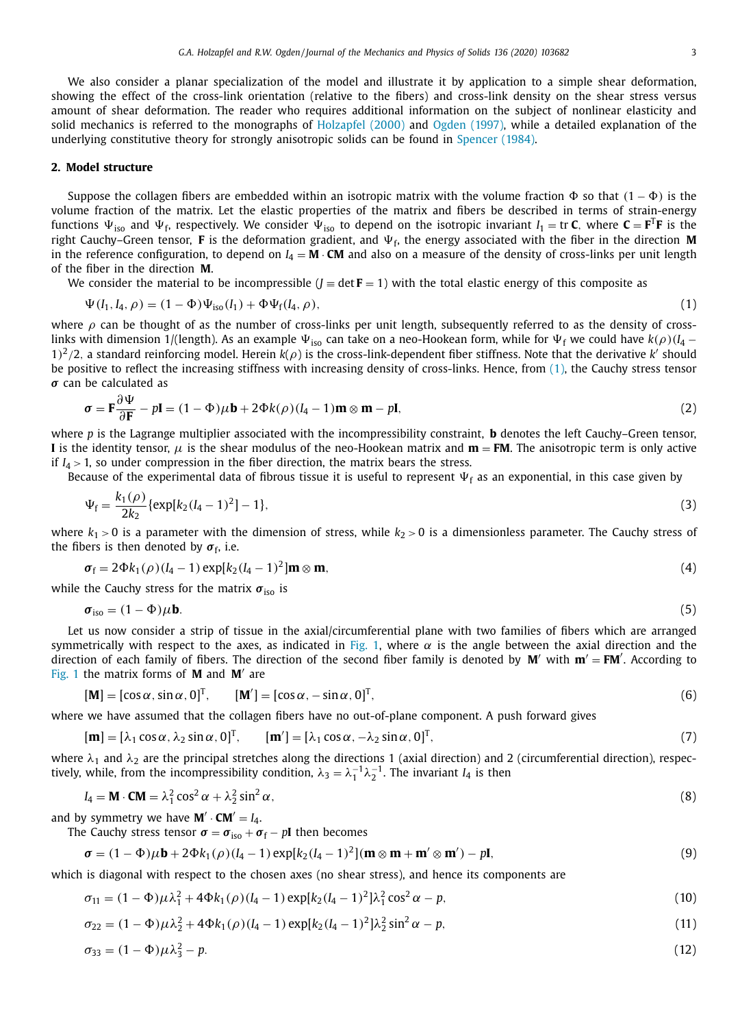<span id="page-2-0"></span>We also consider a planar specialization of the model and illustrate it by application to a simple shear deformation, showing the effect of the cross-link orientation (relative to the fibers) and cross-link density on the shear stress versus amount of shear deformation. The reader who requires additional information on the subject of nonlinear elasticity and solid mechanics is referred to the monographs of [Holzapfel](#page-12-0) (2000) and Ogden [\(1997\),](#page-12-0) while a detailed explanation of the underlying constitutive theory for strongly anisotropic solids can be found in [Spencer](#page-12-0) (1984).

### **2. Model structure**

Suppose the collagen fibers are embedded within an isotropic matrix with the volume fraction  $\Phi$  so that  $(1-\Phi)$  is the volume fraction of the matrix. Let the elastic properties of the matrix and fibers be described in terms of strain-energy functions  $\Psi_{\text{iso}}$  and  $\Psi_{\text{f}}$ , respectively. We consider  $\Psi_{\text{iso}}$  to depend on the isotropic invariant  $I_1 = \text{tr } C$ , where  $C = F^T F$  is the right Cauchy–Green tensor, **F** is the deformation gradient, and  $\Psi_f$ , the energy associated with the fiber in the direction **M** in the reference configuration, to depend on  $I_4 = \mathbf{M} \cdot \mathbf{CM}$  and also on a measure of the density of cross-links per unit length of the fiber in the direction **M**.

We consider the material to be incompressible ( $J = \det F = 1$ ) with the total elastic energy of this composite as

$$
\Psi(I_1, I_4, \rho) = (1 - \Phi)\Psi_{\text{iso}}(I_1) + \Phi\Psi_{\text{f}}(I_4, \rho), \tag{1}
$$

where  $\rho$  can be thought of as the number of cross-links per unit length, subsequently referred to as the density of crosslinks with dimension 1/(length). As an example  $\Psi_{iso}$  can take on a neo-Hookean form, while for  $\Psi_f$  we could have  $k(\rho)(I_4 - I_5)$  $1)^2/2$ , a standard reinforcing model. Herein  $k(\rho)$  is the cross-link-dependent fiber stiffness. Note that the derivative k' should be positive to reflect the increasing stiffness with increasing density of cross-links. Hence, from (1), the Cauchy stress tensor *σ* can be calculated as ∂

$$
\boldsymbol{\sigma} = \mathbf{F} \frac{\partial \mathbf{\Psi}}{\partial \mathbf{F}} - p\mathbf{I} = (1 - \Phi)\mu \mathbf{b} + 2\Phi k(\rho)(I_4 - 1)\mathbf{m} \otimes \mathbf{m} - p\mathbf{I},
$$
\n(2)

where *p* is the Lagrange multiplier associated with the incompressibility constraint, **b** denotes the left Cauchy–Green tensor, **I** is the identity tensor,  $\mu$  is the shear modulus of the neo-Hookean matrix and  $\mathbf{m} = \mathbf{FM}$ . The anisotropic term is only active if  $I_4 > 1$ , so under compression in the fiber direction, the matrix bears the stress.

Because of the experimental data of fibrous tissue it is useful to represent  $\Psi_f$  as an exponential, in this case given by

$$
\Psi_{\rm f} = \frac{k_1(\rho)}{2k_2} \{ \exp[k_2(I_4 - 1)^2] - 1 \},\tag{3}
$$

where  $k_1 > 0$  is a parameter with the dimension of stress, while  $k_2 > 0$  is a dimensionless parameter. The Cauchy stress of the fibers is then denoted by  $\sigma_f$ , i.e.

$$
\boldsymbol{\sigma}_{\mathrm{f}} = 2\Phi k_1(\rho)(I_4 - 1)\exp[k_2(I_4 - 1)^2] \mathbf{m} \otimes \mathbf{m},\tag{4}
$$

while the Cauchy stress for the matrix  $\sigma_{\text{iso}}$  is

$$
\boldsymbol{\sigma}_{\rm iso} = (1 - \Phi)\mu \mathbf{b}.\tag{5}
$$

Let us now consider a strip of tissue in the axial/circumferential plane with two families of fibers which are arranged symmetrically with respect to the axes, as indicated in [Fig.](#page-3-0) 1, where  $\alpha$  is the angle between the axial direction and the direction of each family of fibers. The direction of the second fiber family is denoted by  $M'$  with  $m' = FM'$ . According to [Fig.](#page-3-0) 1 the matrix forms of **M** and **M** are

$$
[\mathbf{M}] = [\cos \alpha, \sin \alpha, 0]^{\mathrm{T}}, \qquad [\mathbf{M}'] = [\cos \alpha, -\sin \alpha, 0]^{\mathrm{T}}, \tag{6}
$$

where we have assumed that the collagen fibers have no out-of-plane component. A push forward gives

$$
[\mathbf{m}] = [\lambda_1 \cos \alpha, \lambda_2 \sin \alpha, 0]^T, \qquad [\mathbf{m}'] = [\lambda_1 \cos \alpha, -\lambda_2 \sin \alpha, 0]^T,
$$
\n(7)

where  $\lambda_1$  and  $\lambda_2$  are the principal stretches along the directions 1 (axial direction) and 2 (circumferential direction), respectively, while, from the incompressibility condition,  $\lambda_3 = \lambda_1^{-1} \lambda_2^{-1}$ . The invariant *I*<sub>4</sub> is then

$$
I_4 = \mathbf{M} \cdot \mathbf{CM} = \lambda_1^2 \cos^2 \alpha + \lambda_2^2 \sin^2 \alpha, \tag{8}
$$

and by symmetry we have  $M' \cdot CM' = I_4$ .

The Cauchy stress tensor  $\sigma = \sigma_{\text{iso}} + \sigma_{\text{f}} - p\mathbf{I}$  then becomes

$$
\boldsymbol{\sigma} = (1 - \Phi)\mu \mathbf{b} + 2\Phi k_1(\rho)(l_4 - 1)\exp[k_2(l_4 - 1)^2](\mathbf{m} \otimes \mathbf{m} + \mathbf{m}' \otimes \mathbf{m}') - p\mathbf{I},
$$
\n(9)

which is diagonal with respect to the chosen axes (no shear stress), and hence its components are

$$
\sigma_{11} = (1 - \Phi)\mu\lambda_1^2 + 4\Phi k_1(\rho)(I_4 - 1)\exp[k_2(I_4 - 1)^2]\lambda_1^2\cos^2\alpha - p,\tag{10}
$$

$$
\sigma_{22} = (1 - \Phi)\mu\lambda_2^2 + 4\Phi k_1(\rho)(I_4 - 1)\exp[k_2(I_4 - 1)^2]\lambda_2^2 \sin^2\alpha - p,\tag{11}
$$

$$
\sigma_{33} = (1 - \Phi)\mu\lambda_3^2 - p. \tag{12}
$$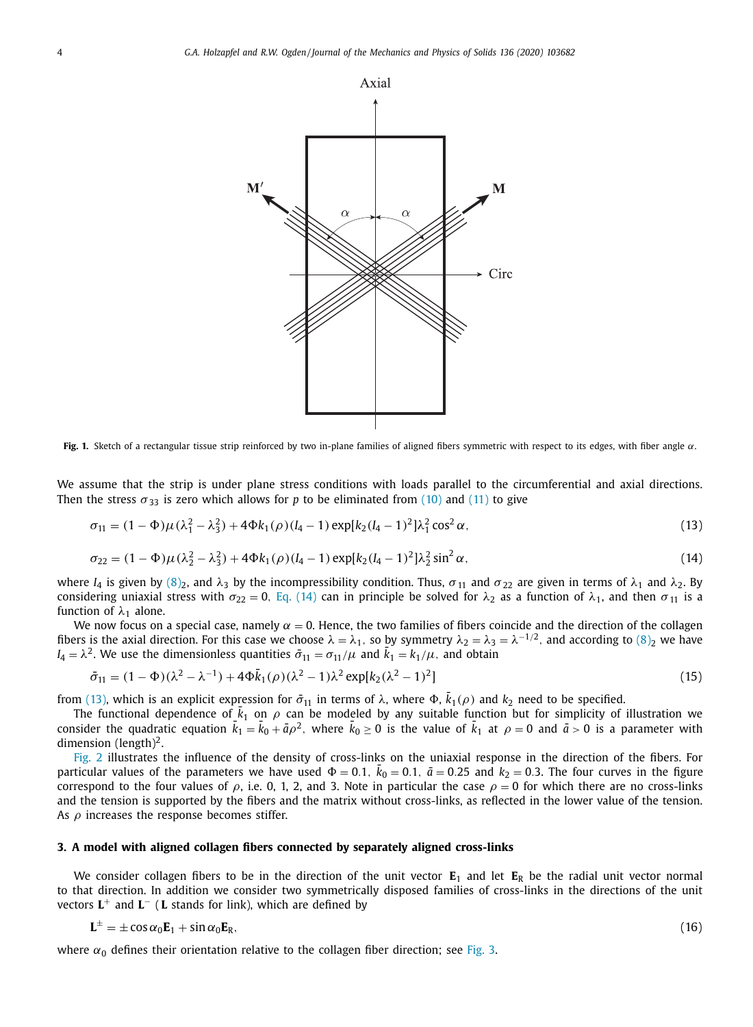<span id="page-3-0"></span>

**Fig. 1.** Sketch of a rectangular tissue strip reinforced by two in-plane families of aligned fibers symmetric with respect to its edges, with fiber angle α.

We assume that the strip is under plane stress conditions with loads parallel to the circumferential and axial directions. Then the stress  $\sigma_{33}$  is zero which allows for *p* to be eliminated from [\(10\)](#page-2-0) and [\(11\)](#page-2-0) to give

$$
\sigma_{11} = (1 - \Phi)\mu(\lambda_1^2 - \lambda_3^2) + 4\Phi k_1(\rho)(I_4 - 1) \exp[k_2(I_4 - 1)^2]\lambda_1^2 \cos^2 \alpha,
$$
\n(13)

$$
\sigma_{22} = (1 - \Phi)\mu(\lambda_2^2 - \lambda_3^2) + 4\Phi k_1(\rho)(I_4 - 1) \exp[k_2(I_4 - 1)^2]\lambda_2^2 \sin^2 \alpha,
$$
\n(14)

where *I*<sub>4</sub> is given by (8)<sub>2</sub>, and  $\lambda_3$  by the incompressibility condition. Thus,  $\sigma_{11}$  and  $\sigma_{22}$  are given in terms of  $\lambda_1$  and  $\lambda_2$ . By considering uniaxial stress with  $\sigma_{22} = 0$ , Eq. (14) can in principle be solved for  $\lambda_2$  as a function of  $\lambda_1$ , and then  $\sigma_{11}$  is a function of  $\lambda_1$  alone.

We now focus on a special case, namely  $\alpha = 0$ . Hence, the two families of fibers coincide and the direction of the collagen fibers is the axial direction. For this case we choose  $\lambda = \lambda_1$ , so by symmetry  $\lambda_2 = \lambda_3 = \lambda^{-1/2}$ , and according to  $(8)_2$  we have  $I_4 = \lambda^2$ . We use the dimensionless quantities  $\bar{\sigma}_{11} = \sigma_{11}/\mu$  and  $\bar{k}_1 = k_1/\mu$ , and obtain

$$
\bar{\sigma}_{11} = (1 - \Phi)(\lambda^2 - \lambda^{-1}) + 4\Phi \bar{k}_1(\rho)(\lambda^2 - 1)\lambda^2 \exp[k_2(\lambda^2 - 1)^2]
$$
\n(15)

from (13), which is an explicit expression for  $\bar{\sigma}_{11}$  in terms of  $\lambda$ , where  $\Phi$ ,  $\bar{k}_1(\rho)$  and  $k_2$  need to be specified.

The functional dependence of  $\bar{k}_1$  on  $\rho$  can be modeled by any suitable function but for simplicity of illustration we consider the quadratic equation  $\bar{k}_1=\bar{k}_0+\bar{a}\rho^2$ , where  $\bar{k}_0\geq0$  is the value of  $\bar{k}_1$  at  $\rho=0$  and  $\bar{a}>0$  is a parameter with dimension (length)<sup>2</sup>.

[Fig.](#page-4-0) 2 illustrates the influence of the density of cross-links on the uniaxial response in the direction of the fibers. For particular values of the parameters we have used  $\Phi = 0.1,~\bar{k}_0 = 0.1,~\bar{a} = 0.25$  and  $k_2 = 0.3.$  The four curves in the figure correspond to the four values of  $\rho$ , i.e. 0, 1, 2, and 3. Note in particular the case  $\rho = 0$  for which there are no cross-links and the tension is supported by the fibers and the matrix without cross-links, as reflected in the lower value of the tension. As  $\rho$  increases the response becomes stiffer.

## **3. A model with aligned collagen fibers connected by separately aligned cross-links**

We consider collagen fibers to be in the direction of the unit vector  $E_1$  and let  $E_R$  be the radial unit vector normal to that direction. In addition we consider two symmetrically disposed families of cross-links in the directions of the unit vectors **L**<sup>+</sup> and **L**<sup>−</sup> ( **L** stands for link), which are defined by

$$
\mathbf{L}^{\pm} = \pm \cos \alpha_0 \mathbf{E}_1 + \sin \alpha_0 \mathbf{E}_R, \tag{16}
$$

where  $\alpha_0$  defines their orientation relative to the collagen fiber direction; see [Fig.](#page-4-0) 3.

$$
(16)
$$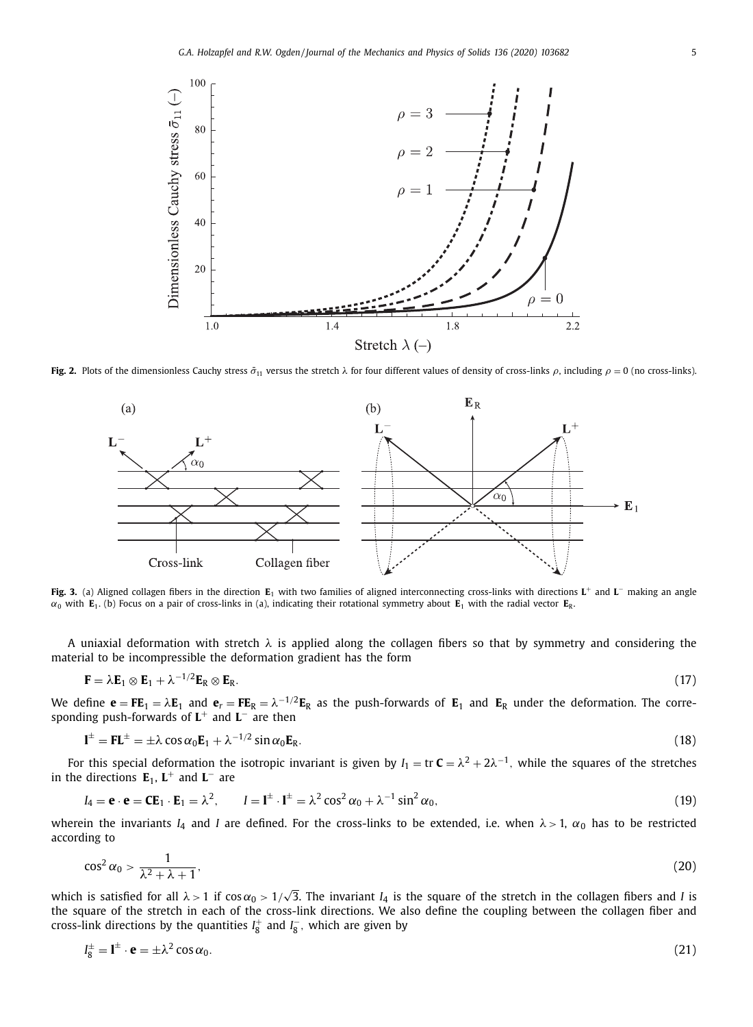<span id="page-4-0"></span>

**Fig. 2.** Plots of the dimensionless Cauchy stress  $\bar{\sigma}_{11}$  versus the stretch  $\lambda$  for four different values of density of cross-links  $\rho$ , including  $\rho = 0$  (no cross-links).



**Fig. 3.** (a) Aligned collagen fibers in the direction **E**<sup>1</sup> with two families of aligned interconnecting cross-links with directions **L**<sup>+</sup> and **L**<sup>−</sup> making an angle  $\alpha_0$  with **E**<sub>1</sub>. (b) Focus on a pair of cross-links in (a), indicating their rotational symmetry about **E**<sub>1</sub> with the radial vector **E**<sub>R</sub>.

A uniaxial deformation with stretch  $\lambda$  is applied along the collagen fibers so that by symmetry and considering the material to be incompressible the deformation gradient has the form

$$
\mathbf{F} = \lambda \mathbf{E}_1 \otimes \mathbf{E}_1 + \lambda^{-1/2} \mathbf{E}_R \otimes \mathbf{E}_R. \tag{17}
$$

We define  $e = FE_1 = \lambda E_1$  and  $e_r = FE_R = \lambda^{-1/2}E_R$  as the push-forwards of  $E_1$  and  $E_R$  under the deformation. The corresponding push-forwards of **L**<sup>+</sup> and **L**<sup>−</sup> are then

$$
\mathbf{l}^{\pm} = \mathbf{F}\mathbf{L}^{\pm} = \pm\lambda\cos\alpha_0\mathbf{E}_1 + \lambda^{-1/2}\sin\alpha_0\mathbf{E}_R.
$$
 (18)

For this special deformation the isotropic invariant is given by  $I_1 = \text{tr } C = \lambda^2 + 2\lambda^{-1}$ , while the squares of the stretches in the directions  $E_1$ ,  $L^+$  and  $L^-$  are

$$
I_4 = \mathbf{e} \cdot \mathbf{e} = \mathbf{CE}_1 \cdot \mathbf{E}_1 = \lambda^2, \qquad I = \mathbf{I}^{\pm} \cdot \mathbf{I}^{\pm} = \lambda^2 \cos^2 \alpha_0 + \lambda^{-1} \sin^2 \alpha_0,
$$
\n(19)

wherein the invariants  $I_4$  and *I* are defined. For the cross-links to be extended, i.e. when  $\lambda > 1$ ,  $\alpha_0$  has to be restricted according to

$$
\cos^2\alpha_0 > \frac{1}{\lambda^2 + \lambda + 1},\tag{20}
$$

which is satisfied for all  $\lambda > 1$  if  $\cos \alpha_0 > 1/\sqrt{3}$ . The invariant *I*<sub>4</sub> is the square of the stretch in the collagen fibers and *I* is the square of the stretch in each of the cross-link directions. We also define the coupling between the collagen fiber and cross-link directions by the quantities  $I_8^+$  and  $I_8^-$ , which are given by

$$
I_8^{\pm} = I^{\pm} \cdot \mathbf{e} = \pm \lambda^2 \cos \alpha_0. \tag{21}
$$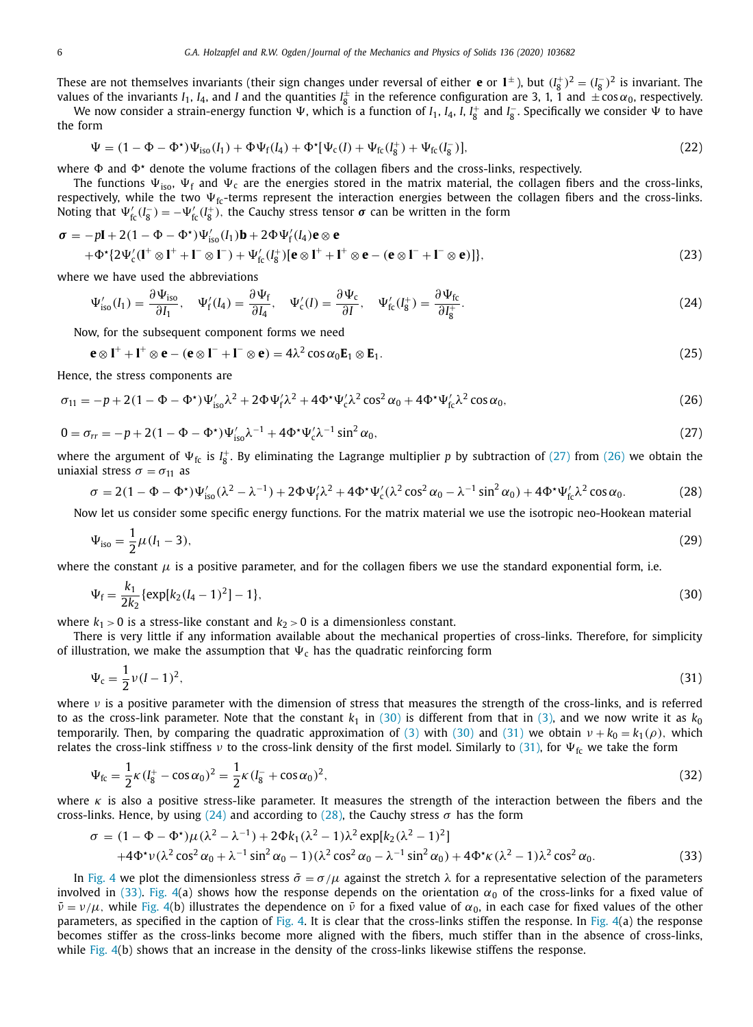<span id="page-5-0"></span>These are not themselves invariants (their sign changes under reversal of either **e** or  $1^{\pm}$ ), but  $(I_8^+)^2 = (I_8^-)^2$  is invariant. The values of the invariants  $I_1$ ,  $I_4$ , and  $I$  and the quantities  $I_8^{\pm}$  in the reference configuration are 3, 1, 1 and  $\pm \cos \alpha_0$ , respectively.

We now consider a strain-energy function  $\Psi$ , which is a function of *I*<sub>1</sub>, *I*<sub>4</sub>, *I*<sub>1</sub>, *I*<sub>8</sub> and *I*<sub>8</sub> . Specifically we consider  $\Psi$  to have the form

$$
\Psi = (1 - \Phi - \Phi^*)\Psi_{\text{iso}}(I_1) + \Phi\Psi_f(I_4) + \Phi^*[\Psi_c(I) + \Psi_{fc}(I_8^+) + \Psi_{fc}(I_8^-)],\tag{22}
$$

where  $\Phi$  and  $\Phi^*$  denote the volume fractions of the collagen fibers and the cross-links, respectively.

The functions  $\Psi_{\text{iso}}$ ,  $\Psi_{\text{f}}$  and  $\Psi_{\text{c}}$  are the energies stored in the matrix material, the collagen fibers and the cross-links, respectively, while the two  $\Psi_{\text{fc}}$ -terms represent the interaction energies between the collagen fibers and the cross-links. Noting that  $\Psi'_{fc}(I_8^-) = -\Psi'_{fc}(I_8^+)$ , the Cauchy stress tensor  $\sigma$  can be written in the form

$$
\sigma = -p\mathbf{I} + 2(1 - \Phi - \Phi^*)\Psi_{\text{iso}}'(I_1)\mathbf{b} + 2\Phi\Psi_f'(I_4)\mathbf{e} \otimes \mathbf{e}
$$
  
+  $\Phi^* \{2\Psi_c'(I^+ \otimes I^+ + I^- \otimes I^-) + \Psi_{fc}'(I_8^+)[\mathbf{e} \otimes I^+ + I^+ \otimes \mathbf{e} - (\mathbf{e} \otimes I^- + I^- \otimes \mathbf{e})]\},$  (23)

where we have used the abbreviations

$$
\Psi'_{\text{iso}}(I_1) = \frac{\partial \Psi_{\text{iso}}}{\partial I_1}, \quad \Psi'_f(I_4) = \frac{\partial \Psi_f}{\partial I_4}, \quad \Psi'_c(I) = \frac{\partial \Psi_c}{\partial I}, \quad \Psi'_{\text{fc}}(I_8^+) = \frac{\partial \Psi_{\text{fc}}}{\partial I_8^+}.
$$
\n(24)

Now, for the subsequent component forms we need

$$
\mathbf{e} \otimes \mathbf{I}^+ + \mathbf{I}^+ \otimes \mathbf{e} - (\mathbf{e} \otimes \mathbf{I}^- + \mathbf{I}^- \otimes \mathbf{e}) = 4\lambda^2 \cos \alpha_0 \mathbf{E}_1 \otimes \mathbf{E}_1.
$$
 (25)

Hence, the stress components are

$$
\sigma_{11} = -p + 2(1 - \Phi - \Phi^*)\Psi_{iso}'\lambda^2 + 2\Phi\Psi_f'\lambda^2 + 4\Phi^*\Psi_c'\lambda^2\cos^2\alpha_0 + 4\Phi^*\Psi_f'\lambda^2\cos\alpha_0,\tag{26}
$$

$$
0 = \sigma_{rr} = -p + 2(1 - \Phi - \Phi^*)\Psi_{\text{iso}}'\lambda^{-1} + 4\Phi^*\Psi_c'\lambda^{-1}\sin^2\alpha_0,\tag{27}
$$

where the argument of  $\Psi_{fc}$  is  $I_8^+$ . By eliminating the Lagrange multiplier p by subtraction of (27) from (26) we obtain the uniaxial stress  $\sigma = \sigma_{11}$  as

$$
\sigma = 2(1 - \Phi - \Phi^*)\Psi_{iso}'(\lambda^2 - \lambda^{-1}) + 2\Phi\Psi_f'\lambda^2 + 4\Phi^*\Psi_c'(\lambda^2\cos^2\alpha_0 - \lambda^{-1}\sin^2\alpha_0) + 4\Phi^*\Psi_{fc}'\lambda^2\cos\alpha_0.
$$
 (28)

Now let us consider some specific energy functions. For the matrix material we use the isotropic neo-Hookean material

$$
\Psi_{\rm iso} = \frac{1}{2}\mu(l_1 - 3),\tag{29}
$$

where the constant  $\mu$  is a positive parameter, and for the collagen fibers we use the standard exponential form, i.e.

$$
\Psi_{\rm f} = \frac{k_1}{2k_2} \{ \exp[k_2(l_4 - 1)^2] - 1 \},\tag{30}
$$

where  $k_1 > 0$  is a stress-like constant and  $k_2 > 0$  is a dimensionless constant.

There is very little if any information available about the mechanical properties of cross-links. Therefore, for simplicity of illustration, we make the assumption that  $\Psi_c$  has the quadratic reinforcing form

$$
\Psi_{\rm c} = \frac{1}{2}\nu(I-1)^2,\tag{31}
$$

where  $\nu$  is a positive parameter with the dimension of stress that measures the strength of the cross-links, and is referred to as the cross-link parameter. Note that the constant  $k_1$  in (30) is different from that in [\(3\),](#page-2-0) and we now write it as  $k_0$ temporarily. Then, by comparing the quadratic approximation of [\(3\)](#page-2-0) with (30) and (31) we obtain  $v + k_0 = k_1(\rho)$ , which relates the cross-link stiffness v to the cross-link density of the first model. Similarly to (31), for  $\Psi_{fc}$  we take the form

$$
\Psi_{\text{fc}} = \frac{1}{2}\kappa (I_8^+ - \cos \alpha_0)^2 = \frac{1}{2}\kappa (I_8^- + \cos \alpha_0)^2, \tag{32}
$$

where  $\kappa$  is also a positive stress-like parameter. It measures the strength of the interaction between the fibers and the cross-links. Hence, by using (24) and according to (28), the Cauchy stress  $\sigma$  has the form

$$
\sigma = (1 - \Phi - \Phi^*)\mu(\lambda^2 - \lambda^{-1}) + 2\Phi k_1(\lambda^2 - 1)\lambda^2 \exp[k_2(\lambda^2 - 1)^2]
$$
  
+4\Phi^\*\nu(\lambda^2 \cos^2 \alpha\_0 + \lambda^{-1} \sin^2 \alpha\_0 - 1)(\lambda^2 \cos^2 \alpha\_0 - \lambda^{-1} \sin^2 \alpha\_0) + 4\Phi^\*\kappa(\lambda^2 - 1)\lambda^2 \cos^2 \alpha\_0. (33)

In [Fig.](#page-6-0) 4 we plot the dimensionless stress  $\bar{\sigma} = \sigma/\mu$  against the stretch  $\lambda$  for a representative selection of the parameters involved in (33). [Fig.](#page-6-0) 4(a) shows how the response depends on the orientation  $\alpha_0$  of the cross-links for a fixed value of  $\bar{v} = v/\mu$ , while [Fig.](#page-6-0) 4(b) illustrates the dependence on  $\bar{v}$  for a fixed value of  $\alpha_0$ , in each case for fixed values of the other parameters, as specified in the caption of [Fig.](#page-6-0) 4. It is clear that the cross-links stiffen the response. In Fig.  $4(a)$  the response becomes stiffer as the cross-links become more aligned with the fibers, much stiffer than in the absence of cross-links, while [Fig.](#page-6-0) 4(b) shows that an increase in the density of the cross-links likewise stiffens the response.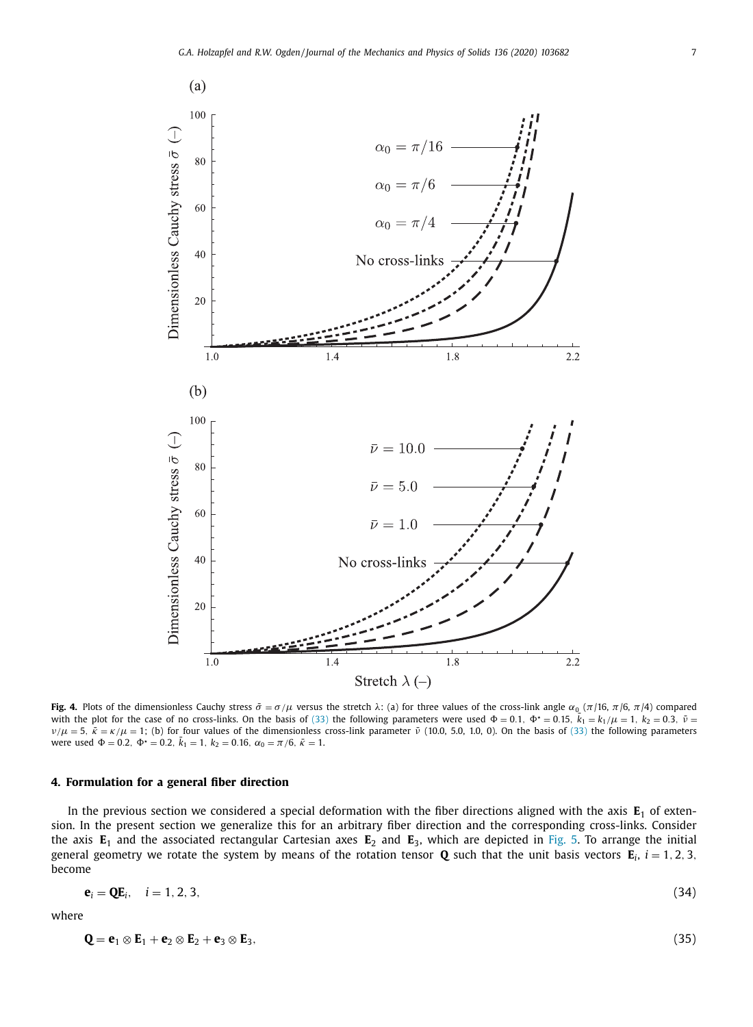<span id="page-6-0"></span>

**Fig. 4.** Plots of the dimensionless Cauchy stress  $\bar{\sigma} = \sigma/\mu$  versus the stretch  $\lambda$ : (a) for three values of the cross-link angle  $\alpha_0$  ( $\pi/16$ ,  $\pi/6$ ,  $\pi/4$ ) compared with the plot for the case of no cross-links. On the basis of [\(33\)](#page-5-0) the following parameters were used  $\Phi = 0.1$ ,  $\Phi^* = 0.15$ ,  $\bar{k}_1 = k_1/\mu = 1$ ,  $k_2 = 0.3$ ,  $\bar{\nu} = 0.1$  $ν/μ = 5$ ,  $\bar{\kappa} = κ/μ = 1$ ; (b) for four values of the dimensionless cross-link parameter  $\bar{ν}$  (10.0, 5.0, 1.0, 0). On the basis of [\(33\)](#page-5-0) the following parameters were used  $\Phi = 0.2$ ,  $\Phi^* = 0.2$ ,  $\bar{k}_1 = 1$ ,  $k_2 = 0.16$ ,  $\alpha_0 = \pi/6$ ,  $\bar{k} = 1$ .

## **4. Formulation for a general fiber direction**

In the previous section we considered a special deformation with the fiber directions aligned with the axis  $E_1$  of extension. In the present section we generalize this for an arbitrary fiber direction and the corresponding cross-links. Consider the axis **E**<sup>1</sup> and the associated rectangular Cartesian axes **E**<sup>2</sup> and **E**3, which are depicted in [Fig.](#page-7-0) 5. To arrange the initial general geometry we rotate the system by means of the rotation tensor **Q** such that the unit basis vectors  $\mathbf{E}_i$ ,  $i = 1, 2, 3$ , become

$$
\mathbf{e}_i = \mathbf{Q} \mathbf{E}_i, \quad i = 1, 2, 3,
$$
\n
$$
(34)
$$

where

$$
\mathbf{Q} = \mathbf{e}_1 \otimes \mathbf{E}_1 + \mathbf{e}_2 \otimes \mathbf{E}_2 + \mathbf{e}_3 \otimes \mathbf{E}_3, \tag{35}
$$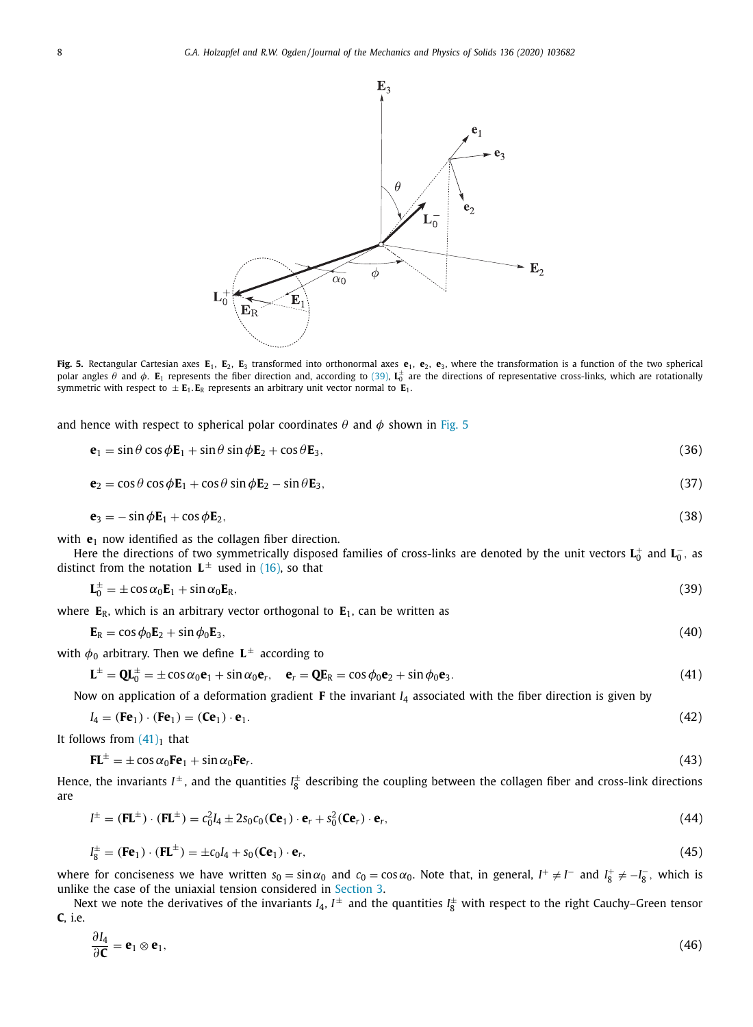<span id="page-7-0"></span>

**Fig. 5.** Rectangular Cartesian axes **E**1, **E**2, **E**<sup>3</sup> transformed into orthonormal axes **e**1, **e**2, **e**3, where the transformation is a function of the two spherical polar angles θ and φ. **E**<sub>1</sub> represents the fiber direction and, according to (39), **L**<sup>±</sup> are the directions of representative cross-links, which are rotationally symmetric with respect to  $\pm \mathbf{E}_1 \cdot \mathbf{E}_R$  represents an arbitrary unit vector normal to  $\mathbf{E}_1$ .

and hence with respect to spherical polar coordinates  $\theta$  and  $\phi$  shown in Fig. 5

$$
\mathbf{e}_1 = \sin \theta \cos \phi \mathbf{E}_1 + \sin \theta \sin \phi \mathbf{E}_2 + \cos \theta \mathbf{E}_3, \tag{36}
$$

$$
\mathbf{e}_2 = \cos\theta\cos\phi\mathbf{E}_1 + \cos\theta\sin\phi\mathbf{E}_2 - \sin\theta\mathbf{E}_3,\tag{37}
$$

$$
\mathbf{e}_3 = -\sin\phi \mathbf{E}_1 + \cos\phi \mathbf{E}_2,\tag{38}
$$

with **e**<sub>1</sub> now identified as the collagen fiber direction.

Here the directions of two symmetrically disposed families of cross-links are denoted by the unit vectors  $\bf L_0^+$  and  $\bf L_0^-$ , as distinct from the notation  $L^{\pm}$  used in [\(16\),](#page-3-0) so that

$$
\mathbf{L}_0^{\pm} = \pm \cos \alpha_0 \mathbf{E}_1 + \sin \alpha_0 \mathbf{E}_R, \tag{39}
$$

where  $E_R$ , which is an arbitrary vector orthogonal to  $E_1$ , can be written as

$$
\mathbf{E}_{\rm R} = \cos \phi_0 \mathbf{E}_2 + \sin \phi_0 \mathbf{E}_3, \tag{40}
$$

with  $\phi_0$  arbitrary. Then we define  $L^{\pm}$  according to

$$
\mathbf{L}^{\pm} = \mathbf{Q} \mathbf{L}_0^{\pm} = \pm \cos \alpha_0 \mathbf{e}_1 + \sin \alpha_0 \mathbf{e}_r, \quad \mathbf{e}_r = \mathbf{Q} \mathbf{E}_R = \cos \phi_0 \mathbf{e}_2 + \sin \phi_0 \mathbf{e}_3. \tag{41}
$$

Now on application of a deformation gradient **F** the invariant *I*<sup>4</sup> associated with the fiber direction is given by

$$
I_4 = (\mathbf{F} \mathbf{e}_1) \cdot (\mathbf{F} \mathbf{e}_1) = (\mathbf{C} \mathbf{e}_1) \cdot \mathbf{e}_1. \tag{42}
$$

It follows from  $(41)_1$  that

∂*I*<sup>4</sup>

$$
\mathbf{FL}^{\pm} = \pm \cos \alpha_0 \mathbf{Fe}_1 + \sin \alpha_0 \mathbf{Fe}_r. \tag{43}
$$

Hence, the invariants  $I^{\pm}$ , and the quantities  $I_8^{\pm}$  describing the coupling between the collagen fiber and cross-link directions are

$$
I^{\pm} = (\mathbf{F}\mathbf{L}^{\pm}) \cdot (\mathbf{F}\mathbf{L}^{\pm}) = c_0^2 I_4 \pm 2s_0 c_0 (\mathbf{C} \mathbf{e}_1) \cdot \mathbf{e}_r + s_0^2 (\mathbf{C} \mathbf{e}_r) \cdot \mathbf{e}_r,
$$
\n(44)

$$
I_8^{\pm} = (\mathbf{F} \mathbf{e}_1) \cdot (\mathbf{F} \mathbf{L}^{\pm}) = \pm c_0 I_4 + s_0 (\mathbf{C} \mathbf{e}_1) \cdot \mathbf{e}_r, \tag{45}
$$

where for conciseness we have written  $s_0 = \sin \alpha_0$  and  $c_0 = \cos \alpha_0$ . Note that, in general,  $I^+ \neq I^-$  and  $I_8^+ \neq -I_8^-$ , which is unlike the case of the uniaxial tension considered in [Section](#page-3-0) 3.

Next we note the derivatives of the invariants  $I_4$ ,  $I^\pm$  and the quantities  $I_8^\pm$  with respect to the right Cauchy–Green tensor **C**, i.e.

$$
\frac{\partial I_4}{\partial \mathbf{C}} = \mathbf{e}_1 \otimes \mathbf{e}_1,\tag{46}
$$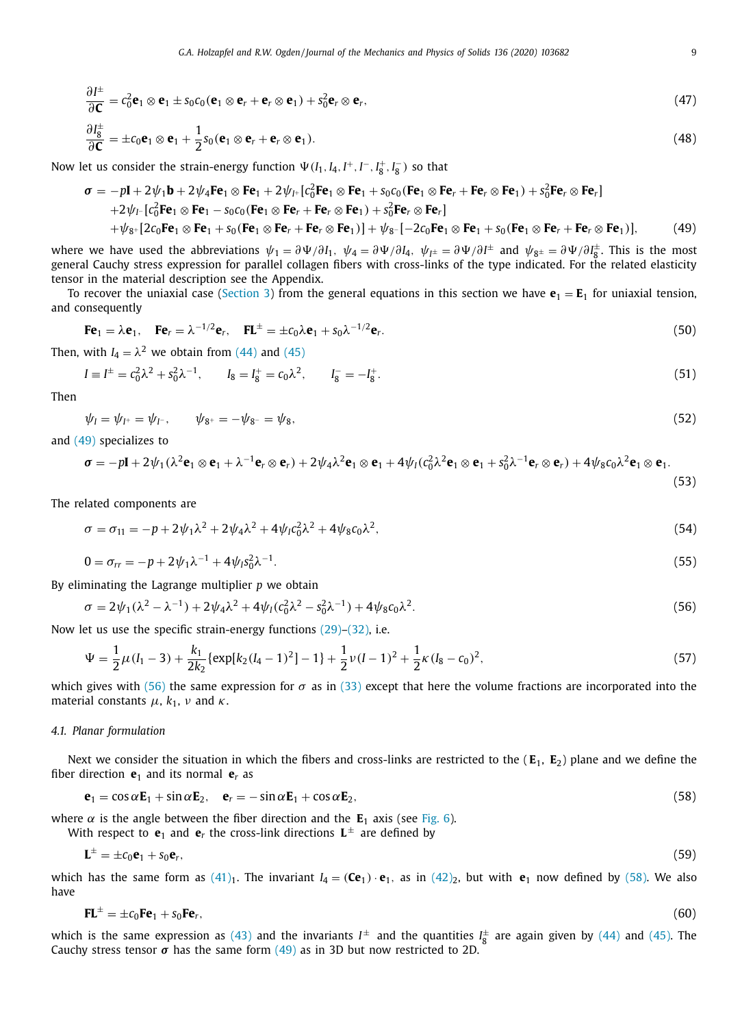<span id="page-8-0"></span>
$$
\frac{\partial I^{\pm}}{\partial \mathbf{C}} = c_0^2 \mathbf{e}_1 \otimes \mathbf{e}_1 \pm s_0 c_0 (\mathbf{e}_1 \otimes \mathbf{e}_r + \mathbf{e}_r \otimes \mathbf{e}_1) + s_0^2 \mathbf{e}_r \otimes \mathbf{e}_r,
$$
  
\n
$$
\frac{\partial I^{\pm}_8}{\partial \mathbf{C}} = \pm c_0 \mathbf{e}_1 \otimes \mathbf{e}_1 + \frac{1}{2} s_0 (\mathbf{e}_1 \otimes \mathbf{e}_r + \mathbf{e}_r \otimes \mathbf{e}_1).
$$
\n(48)

Now let us consider the strain-energy function  $\Psi(I_1, I_4, I^+, I^-, I^*_8, I^-\_8)$  so that

$$
\sigma = -p\mathbf{I} + 2\psi_1 \mathbf{b} + 2\psi_4 \mathbf{F} \mathbf{e}_1 \otimes \mathbf{F} \mathbf{e}_1 + 2\psi_1 [\mathbf{c}_0^2 \mathbf{F} \mathbf{e}_1 \otimes \mathbf{F} \mathbf{e}_1 + s_0 \mathbf{c}_0 (\mathbf{F} \mathbf{e}_1 \otimes \mathbf{F} \mathbf{e}_r + \mathbf{F} \mathbf{e}_r \otimes \mathbf{F} \mathbf{e}_1) + s_0^2 \mathbf{F} \mathbf{e}_r \otimes \mathbf{F} \mathbf{e}_r]
$$
  
+2\psi\_1 [\mathbf{c}\_0^2 \mathbf{F} \mathbf{e}\_1 \otimes \mathbf{F} \mathbf{e}\_1 - s\_0 \mathbf{c}\_0 (\mathbf{F} \mathbf{e}\_1 \otimes \mathbf{F} \mathbf{e}\_r + \mathbf{F} \mathbf{e}\_r \otimes \mathbf{F} \mathbf{e}\_1) + s\_0^2 \mathbf{F} \mathbf{e}\_r \otimes \mathbf{F} \mathbf{e}\_r]  
+  $\psi_{8^+} [2c_0 \mathbf{F} \mathbf{e}_1 \otimes \mathbf{F} \mathbf{e}_1 + s_0 (\mathbf{F} \mathbf{e}_1 \otimes \mathbf{F} \mathbf{e}_r + \mathbf{F} \mathbf{e}_r \otimes \mathbf{F} \mathbf{e}_1)] + \psi_{8^-} [-2c_0 \mathbf{F} \mathbf{e}_1 \otimes \mathbf{F} \mathbf{e}_1 + s_0 (\mathbf{F} \mathbf{e}_1 \otimes \mathbf{F} \mathbf{e}_r + \mathbf{F} \mathbf{e}_r \otimes \mathbf{F} \mathbf{e}_1)]$ , (49)

where we have used the abbreviations  $\psi_1 = \partial \Psi / \partial I_1$ ,  $\psi_4 = \partial \Psi / \partial I_4$ ,  $\psi_{I^{\pm}} = \partial \Psi / \partial I^{\pm}$  and  $\psi_{8^{\pm}} = \partial \Psi / \partial I_8^{\pm}$ . This is the most general Cauchy stress expression for parallel collagen fibers with cross-links of the type indicated. For the related elasticity tensor in the material description see the Appendix.

To recover the uniaxial case [\(Section](#page-3-0) 3) from the general equations in this section we have  $\mathbf{e}_1 = \mathbf{E}_1$  for uniaxial tension, and consequently

$$
\mathbf{F}\mathbf{e}_1 = \lambda \mathbf{e}_1, \quad \mathbf{F}\mathbf{e}_r = \lambda^{-1/2} \mathbf{e}_r, \quad \mathbf{F}\mathbf{L}^{\pm} = \pm c_0 \lambda \mathbf{e}_1 + s_0 \lambda^{-1/2} \mathbf{e}_r.
$$
 (50)

Then, with  $I_4 = \lambda^2$  we obtain from [\(44\)](#page-7-0) and [\(45\)](#page-7-0)

$$
I = I^{\pm} = c_0^2 \lambda^2 + s_0^2 \lambda^{-1}, \qquad I_8 = I_8^+ = c_0 \lambda^2, \qquad I_8^- = -I_8^+.
$$
 (51)

Then

$$
\psi_I = \psi_{I^+} = \psi_{I^-}, \qquad \psi_{8^+} = -\psi_{8^-} = \psi_{8}, \tag{52}
$$

and (49) specializes to

$$
\boldsymbol{\sigma} = -p\mathbf{I} + 2\psi_1(\lambda^2\mathbf{e}_1 \otimes \mathbf{e}_1 + \lambda^{-1}\mathbf{e}_r \otimes \mathbf{e}_r) + 2\psi_4\lambda^2\mathbf{e}_1 \otimes \mathbf{e}_1 + 4\psi_1(c_0^2\lambda^2\mathbf{e}_1 \otimes \mathbf{e}_1 + s_0^2\lambda^{-1}\mathbf{e}_r \otimes \mathbf{e}_r) + 4\psi_8c_0\lambda^2\mathbf{e}_1 \otimes \mathbf{e}_1.
$$
\n(53)

The related components are

$$
\sigma = \sigma_{11} = -p + 2\psi_1\lambda^2 + 2\psi_4\lambda^2 + 4\psi_1c_0^2\lambda^2 + 4\psi_8c_0\lambda^2,\tag{54}
$$

$$
0 = \sigma_{rr} = -p + 2\psi_1\lambda^{-1} + 4\psi_1s_0^2\lambda^{-1}.
$$
\n(55)

By eliminating the Lagrange multiplier *p* we obtain

$$
\sigma = 2\psi_1(\lambda^2 - \lambda^{-1}) + 2\psi_4\lambda^2 + 4\psi_1(c_0^2\lambda^2 - s_0^2\lambda^{-1}) + 4\psi_8c_0\lambda^2.
$$
\n(56)

Now let us use the specific strain-energy functions [\(29\)–\(32\),](#page-5-0) i.e.

$$
\Psi = \frac{1}{2}\mu(I_1 - 3) + \frac{k_1}{2k_2} \{ \exp[k_2(I_4 - 1)^2] - 1 \} + \frac{1}{2}\nu(I - 1)^2 + \frac{1}{2}\kappa(I_8 - c_0)^2,
$$
\n(57)

which gives with (56) the same expression for  $\sigma$  as in [\(33\)](#page-5-0) except that here the volume fractions are incorporated into the material constants  $\mu$ ,  $k_1$ ,  $\nu$  and  $\kappa$ .

## *4.1. Planar formulation*

Next we consider the situation in which the fibers and cross-links are restricted to the  $(E_1, E_2)$  plane and we define the fiber direction  $\mathbf{e}_1$  and its normal  $\mathbf{e}_r$  as

$$
\mathbf{e}_1 = \cos \alpha \mathbf{E}_1 + \sin \alpha \mathbf{E}_2, \quad \mathbf{e}_r = -\sin \alpha \mathbf{E}_1 + \cos \alpha \mathbf{E}_2, \tag{58}
$$

where  $\alpha$  is the angle between the fiber direction and the  $E_1$  axis (see [Fig.](#page-9-0) 6).

With respect to  $\mathbf{e}_1$  and  $\mathbf{e}_r$  the cross-link directions  $\mathbf{L}^{\pm}$  are defined by

$$
\mathbf{L}^{\pm} = \pm c_0 \mathbf{e}_1 + s_0 \mathbf{e}_r,\tag{59}
$$

which has the same form as  $(41)_1$ . The invariant  $I_4 = (Ce_1) \cdot e_1$ , as in  $(42)_2$ , but with  $e_1$  now defined by (58). We also have

$$
\mathbf{FL}^{\pm} = \pm c_0 \mathbf{Fe}_1 + s_0 \mathbf{Fe}_r,\tag{60}
$$

which is the same expression as [\(43\)](#page-7-0) and the invariants  $I^{\pm}$  and the quantities  $I_8^{\pm}$  are again given by [\(44\)](#page-7-0) and [\(45\).](#page-7-0) The Cauchy stress tensor  $\sigma$  has the same form  $(49)$  as in 3D but now restricted to 2D.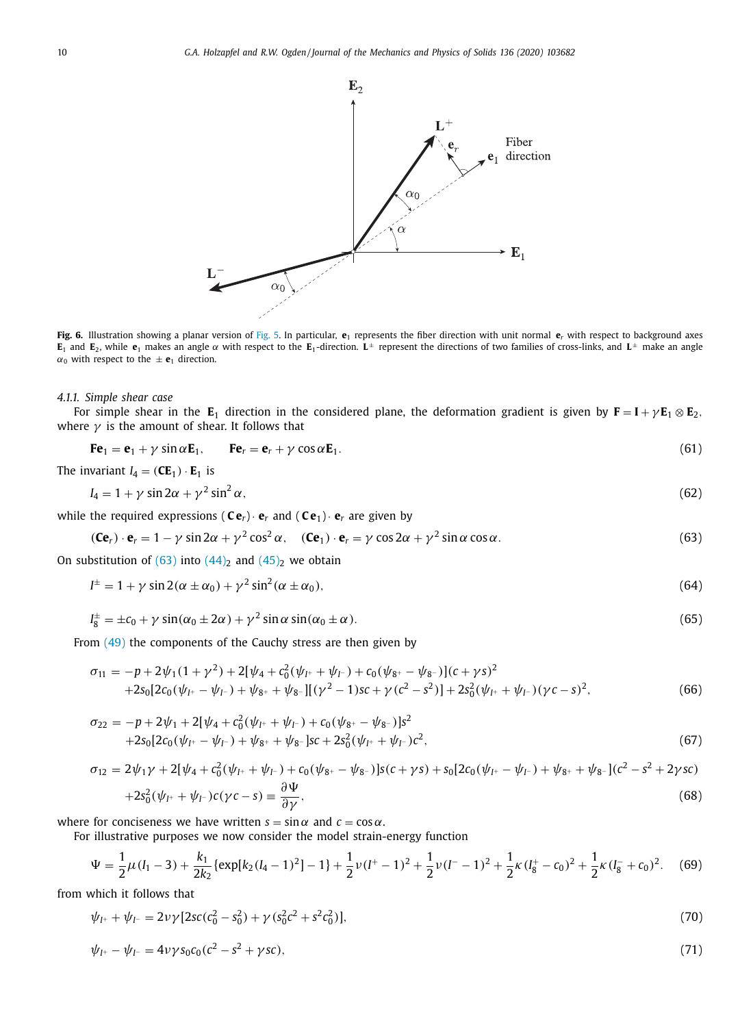<span id="page-9-0"></span>

**Fig. 6.** Illustration showing a planar version of [Fig.](#page-7-0) 5. In particular, **e**<sup>1</sup> represents the fiber direction with unit normal **e***<sup>r</sup>* with respect to background axes **E**<sub>1</sub> and **E**<sub>2</sub>, while **e**<sub>1</sub> makes an angle  $\alpha$  with respect to the **E**<sub>1</sub>-direction. **L**<sup>±</sup> represent the directions of two families of cross-links, and **L**<sup>±</sup> make an angle  $\alpha_0$  with respect to the  $\pm$  **e**<sub>1</sub> direction.

#### *4.1.1. Simple shear case*

For simple shear in the  $E_1$  direction in the considered plane, the deformation gradient is given by  $F = I + \gamma E_1 \otimes E_2$ , where  $\gamma$  is the amount of shear. It follows that

$$
\mathbf{F}\mathbf{e}_1 = \mathbf{e}_1 + \gamma \sin \alpha \mathbf{E}_1, \qquad \mathbf{F}\mathbf{e}_r = \mathbf{e}_r + \gamma \cos \alpha \mathbf{E}_1.
$$
 (61)

The invariant  $I_4 = (CE_1) \cdot E_1$  is

$$
I_4 = 1 + \gamma \sin 2\alpha + \gamma^2 \sin^2 \alpha, \tag{62}
$$

while the required expressions  $(Ce_r) \cdot e_r$  and  $(Ce_1) \cdot e_r$  are given by

$$
(\mathbf{C}\mathbf{e}_r) \cdot \mathbf{e}_r = 1 - \gamma \sin 2\alpha + \gamma^2 \cos^2 \alpha, \quad (\mathbf{C}\mathbf{e}_1) \cdot \mathbf{e}_r = \gamma \cos 2\alpha + \gamma^2 \sin \alpha \cos \alpha. \tag{63}
$$

On substitution of  $(63)$  into  $(44)_2$  and  $(45)_2$  we obtain

$$
I^{\pm} = 1 + \gamma \sin 2(\alpha \pm \alpha_0) + \gamma^2 \sin^2(\alpha \pm \alpha_0), \tag{64}
$$

$$
I_8^{\pm} = \pm c_0 + \gamma \sin(\alpha_0 \pm 2\alpha) + \gamma^2 \sin \alpha \sin(\alpha_0 \pm \alpha). \tag{65}
$$

From [\(49\)](#page-8-0) the components of the Cauchy stress are then given by

$$
\sigma_{11} = -p + 2\psi_1(1 + \gamma^2) + 2[\psi_4 + c_0^2(\psi_{I^+} + \psi_{I^-}) + c_0(\psi_{8^+} - \psi_{8^-})](c + \gamma s)^2 + 2s_0[2c_0(\psi_{I^+} - \psi_{I^-}) + \psi_{8^+} + \psi_{8^-}][(\gamma^2 - 1)sc + \gamma(c^2 - s^2)] + 2s_0^2(\psi_{I^+} + \psi_{I^-})(\gamma c - s)^2,
$$
(66)

$$
\sigma_{22} = -p + 2\psi_1 + 2[\psi_4 + c_0^2(\psi_{I^+} + \psi_{I^-}) + c_0(\psi_{8^+} - \psi_{8^-})]s^2 + 2s_0[2c_0(\psi_{I^+} - \psi_{I^-}) + \psi_{8^+} + \psi_{8^-}]sc + 2s_0^2(\psi_{I^+} + \psi_{I^-})c^2,
$$
\n(67)

$$
\sigma_{12} = 2\psi_1 \gamma + 2[\psi_4 + c_0^2(\psi_{I^+} + \psi_{I^-}) + c_0(\psi_{8^+} - \psi_{8^-})]s(c + \gamma s) + s_0[2c_0(\psi_{I^+} - \psi_{I^-}) + \psi_{8^+} + \psi_{8^-}] (c^2 - s^2 + 2\gamma sc) + 2s_0^2(\psi_{I^+} + \psi_{I^-})c(\gamma c - s) = \frac{\partial \Psi}{\partial \gamma},
$$
\n(68)

where for conciseness we have written  $s = \sin \alpha$  and  $c = \cos \alpha$ .

For illustrative purposes we now consider the model strain-energy function

$$
\Psi = \frac{1}{2}\mu(I_1 - 3) + \frac{k_1}{2k_2} \{ \exp[k_2(I_4 - 1)^2] - 1 \} + \frac{1}{2}\nu(I^+ - 1)^2 + \frac{1}{2}\nu(I^- - 1)^2 + \frac{1}{2}\kappa(I_8^+ - c_0)^2 + \frac{1}{2}\kappa(I_8^- + c_0)^2. \tag{69}
$$

from which it follows that

$$
\psi_{I^+} + \psi_{I^-} = 2\nu\gamma[2sc(c_0^2 - s_0^2) + \gamma(s_0^2c^2 + s^2c_0^2)],
$$
\n(70)

$$
\psi_{I^+} - \psi_{I^-} = 4\nu\gamma s_0 c_0 (c^2 - s^2 + \gamma s c), \tag{71}
$$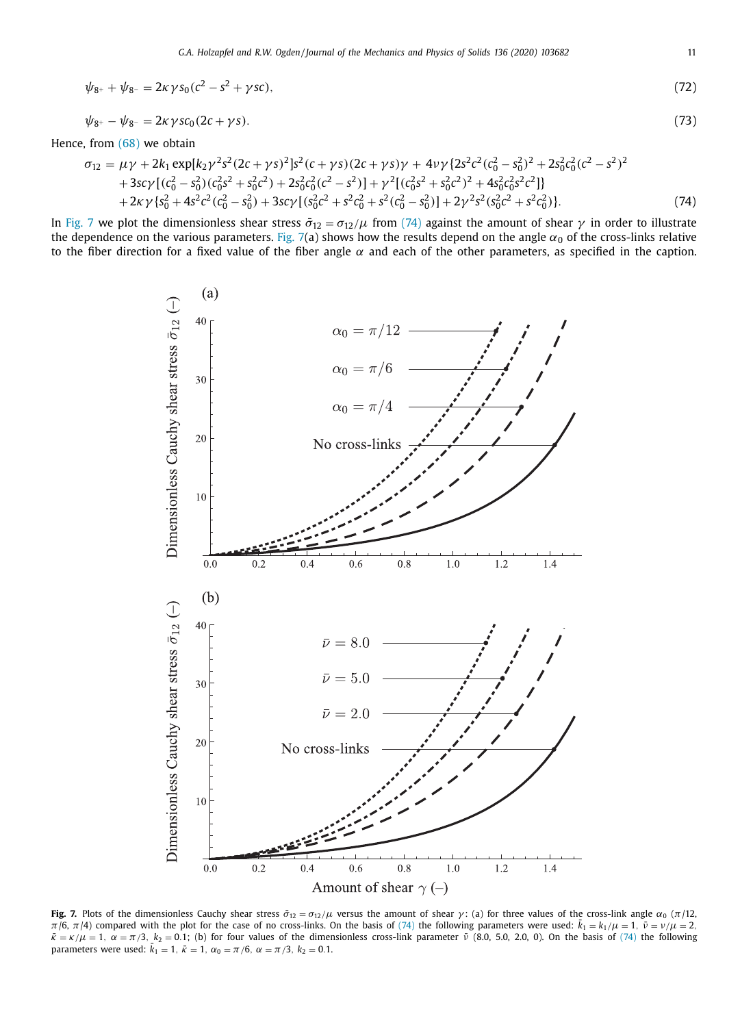<span id="page-10-0"></span>
$$
\psi_{8^+} + \psi_{8^-} = 2\kappa \gamma s_0 (c^2 - s^2 + \gamma s c),\tag{72}
$$

$$
\psi_{8^+} - \psi_{8^-} = 2\kappa \gamma s c_0 (2c + \gamma s). \tag{73}
$$

Hence, from [\(68\)](#page-9-0) we obtain

$$
\sigma_{12} = \mu \gamma + 2k_1 \exp[k_2 \gamma^2 s^2 (2c + \gamma s)^2] s^2 (c + \gamma s) (2c + \gamma s) \gamma + 4\nu \gamma \{2s^2 c^2 (c_0^2 - s_0^2)^2 + 2s_0^2 c_0^2 (c^2 - s^2)^2 + 3s c \gamma [(c_0^2 - s_0^2)(c_0^2 s^2 + s_0^2 c^2) + 2s_0^2 c_0^2 (c^2 - s^2)] + \gamma^2 [(c_0^2 s^2 + s_0^2 c^2)^2 + 4s_0^2 c_0^2 s^2 c^2] \}+ 2\kappa \gamma \{s_0^2 + 4s^2 c^2 (c_0^2 - s_0^2) + 3s c \gamma [(s_0^2 c^2 + s^2 c_0^2 + s^2 (c_0^2 - s_0^2)] + 2\gamma^2 s^2 (s_0^2 c^2 + s^2 c_0^2)]
$$
\n(74)

In Fig. 7 we plot the dimensionless shear stress  $\bar{\sigma}_{12} = \sigma_{12}/\mu$  from (74) against the amount of shear  $\gamma$  in order to illustrate the dependence on the various parameters. Fig. 7(a) shows how the results depend on the angle  $\alpha_0$  of the cross-links relative to the fiber direction for a fixed value of the fiber angle  $\alpha$  and each of the other parameters, as specified in the caption.



**Fig. 7.** Plots of the dimensionless Cauchy shear stress  $\bar{\sigma}_{12} = \sigma_{12}/\mu$  versus the amount of shear  $\gamma$ : (a) for three values of the cross-link angle  $\alpha_0$  ( $\pi/12$ , π/6, π/4) compared with the plot for the case of no cross-links. On the basis of (74) the following parameters were used:  $\bar{k}_1 = k_1/\mu = 1$ ,  $\bar{\nu} = \nu/\mu = 2$ ,  $\bar{\kappa} = \kappa/\mu = 1$ ,  $\alpha = \pi/3$ ,  $k_2 = 0.1$ ; (b) for four values of the dimensionless cross-link parameter  $\bar{\nu}$  (8.0, 5.0, 2.0, 0). On the basis of (74) the following parameters were used:  $\bar{k}_1 = 1$ ,  $\bar{\kappa} = 1$ ,  $\alpha_0 = \pi/6$ ,  $\alpha = \pi/3$ ,  $k_2 = 0.1$ .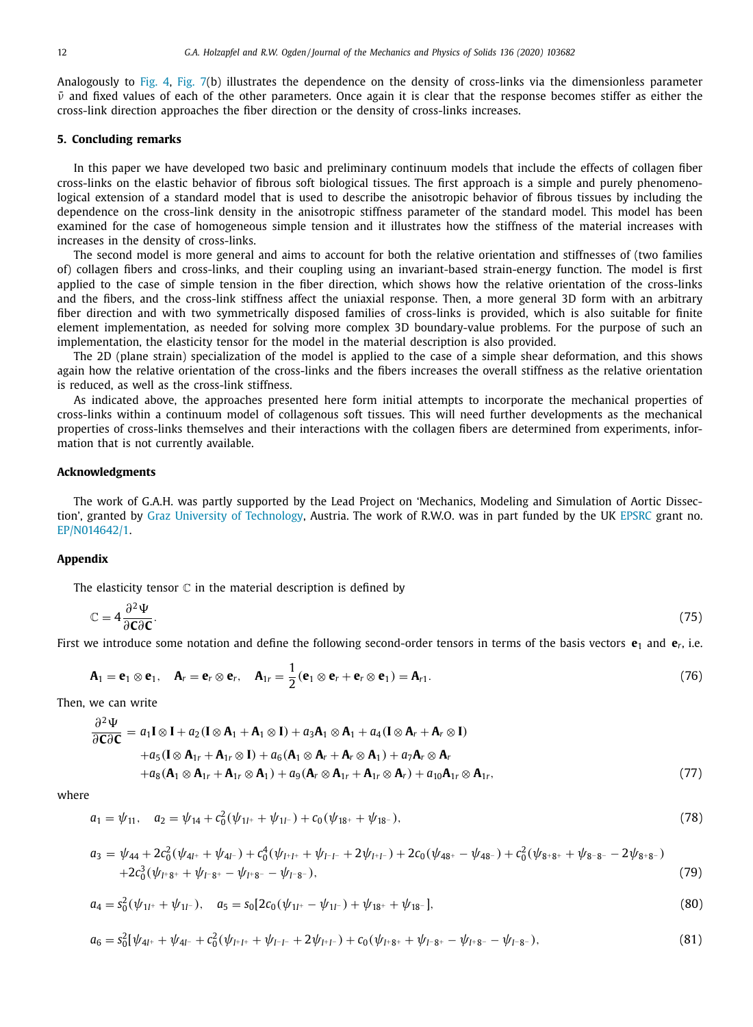Analogously to [Fig.](#page-6-0) 4, [Fig.](#page-10-0) 7(b) illustrates the dependence on the density of cross-links via the dimensionless parameter  $\bar{\nu}$  and fixed values of each of the other parameters. Once again it is clear that the response becomes stiffer as either the cross-link direction approaches the fiber direction or the density of cross-links increases.

## **5. Concluding remarks**

In this paper we have developed two basic and preliminary continuum models that include the effects of collagen fiber cross-links on the elastic behavior of fibrous soft biological tissues. The first approach is a simple and purely phenomenological extension of a standard model that is used to describe the anisotropic behavior of fibrous tissues by including the dependence on the cross-link density in the anisotropic stiffness parameter of the standard model. This model has been examined for the case of homogeneous simple tension and it illustrates how the stiffness of the material increases with increases in the density of cross-links.

The second model is more general and aims to account for both the relative orientation and stiffnesses of (two families of) collagen fibers and cross-links, and their coupling using an invariant-based strain-energy function. The model is first applied to the case of simple tension in the fiber direction, which shows how the relative orientation of the cross-links and the fibers, and the cross-link stiffness affect the uniaxial response. Then, a more general 3D form with an arbitrary fiber direction and with two symmetrically disposed families of cross-links is provided, which is also suitable for finite element implementation, as needed for solving more complex 3D boundary-value problems. For the purpose of such an implementation, the elasticity tensor for the model in the material description is also provided.

The 2D (plane strain) specialization of the model is applied to the case of a simple shear deformation, and this shows again how the relative orientation of the cross-links and the fibers increases the overall stiffness as the relative orientation is reduced, as well as the cross-link stiffness.

As indicated above, the approaches presented here form initial attempts to incorporate the mechanical properties of cross-links within a continuum model of collagenous soft tissues. This will need further developments as the mechanical properties of cross-links themselves and their interactions with the collagen fibers are determined from experiments, information that is not currently available.

## **Acknowledgments**

The work of G.A.H. was partly supported by the Lead Project on 'Mechanics, Modeling and Simulation of Aortic Dissection', granted by Graz University of [Technology,](https://doi.org/10.13039/100008332) Austria. The work of R.W.O. was in part funded by the UK [EPSRC](https://doi.org/10.13039/501100000266) grant no. EP/N014642/1.

## **Appendix**

The elasticity tensor  $\mathbb C$  in the material description is defined by

$$
\mathbb{C} = 4 \frac{\partial^2 \Psi}{\partial \mathbf{C} \partial \mathbf{C}}.\tag{75}
$$

First we introduce some notation and define the following second-order tensors in terms of the basis vectors  $e_1$  and  $e_r$ , i.e.

$$
\mathbf{A}_1 = \mathbf{e}_1 \otimes \mathbf{e}_1, \quad \mathbf{A}_r = \mathbf{e}_r \otimes \mathbf{e}_r, \quad \mathbf{A}_{1r} = \frac{1}{2} (\mathbf{e}_1 \otimes \mathbf{e}_r + \mathbf{e}_r \otimes \mathbf{e}_1) = \mathbf{A}_{r1}.
$$
 (76)

Then, we can write

$$
\frac{\partial^2 \Psi}{\partial \mathbf{C} \partial \mathbf{C}} = a_1 \mathbf{I} \otimes \mathbf{I} + a_2 (\mathbf{I} \otimes \mathbf{A}_1 + \mathbf{A}_1 \otimes \mathbf{I}) + a_3 \mathbf{A}_1 \otimes \mathbf{A}_1 + a_4 (\mathbf{I} \otimes \mathbf{A}_r + \mathbf{A}_r \otimes \mathbf{I})
$$
  
+ $a_5 (\mathbf{I} \otimes \mathbf{A}_{1r} + \mathbf{A}_{1r} \otimes \mathbf{I}) + a_6 (\mathbf{A}_1 \otimes \mathbf{A}_r + \mathbf{A}_r \otimes \mathbf{A}_1) + a_7 \mathbf{A}_r \otimes \mathbf{A}_r$   
+ $a_8 (\mathbf{A}_1 \otimes \mathbf{A}_{1r} + \mathbf{A}_{1r} \otimes \mathbf{A}_1) + a_9 (\mathbf{A}_r \otimes \mathbf{A}_{1r} + \mathbf{A}_{1r} \otimes \mathbf{A}_r) + a_{10} \mathbf{A}_{1r} \otimes \mathbf{A}_{1r},$  (77)

where

$$
a_1 = \psi_{11}, \quad a_2 = \psi_{14} + c_0^2(\psi_{1I^+} + \psi_{1I^-}) + c_0(\psi_{18^+} + \psi_{18^-}), \tag{78}
$$

$$
a_3 = \psi_{44} + 2c_0^2(\psi_{4l^+} + \psi_{4l^-}) + c_0^4(\psi_{l^+l^+} + \psi_{l^-l^-} + 2\psi_{l^+l^-}) + 2c_0(\psi_{48^+} - \psi_{48^-}) + c_0^2(\psi_{8+8^+} + \psi_{8-8^-} - 2\psi_{8+8^-})
$$
  
+2c\_0^3(\psi\_{l^+8^+} + \psi\_{l^-8^+} - \psi\_{l^+8^-} - \psi\_{l^-8^-}), (79)

$$
a_4 = s_0^2(\psi_{11^+} + \psi_{11^-}), \quad a_5 = s_0[2c_0(\psi_{11^+} - \psi_{11^-}) + \psi_{18^+} + \psi_{18^-}], \tag{80}
$$

$$
a_6 = s_0^2 [\psi_{4l^+} + \psi_{4l^-} + c_0^2 (\psi_{l^+l^+} + \psi_{l^-l^-} + 2\psi_{l^+l^-}) + c_0 (\psi_{l^+8^+} + \psi_{l^-8^+} - \psi_{l^+8^-} - \psi_{l^-8^-}),
$$
\n(81)